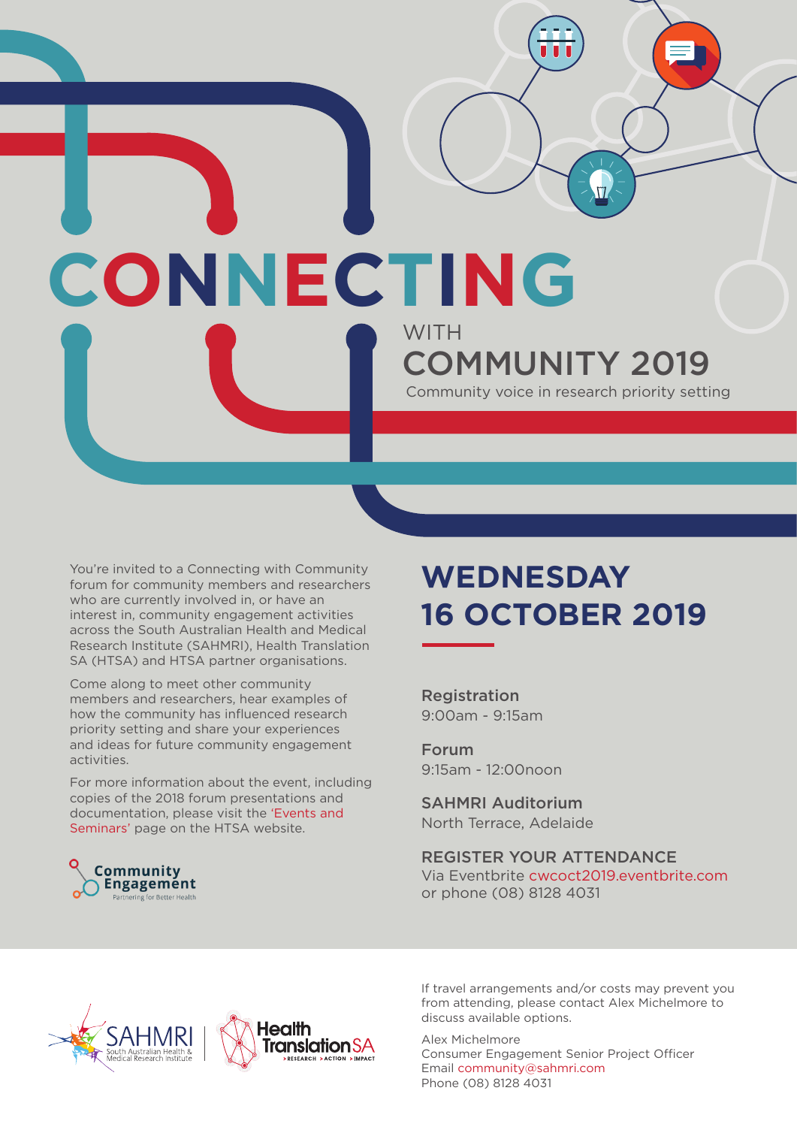## **CONNECTING WITH** COMMUNITY 2019 Community voice in research priority setting

You're invited to a Connecting with Community forum for community members and researchers who are currently involved in, or have an interest in, community engagement activities across the South Australian Health and Medical Research Institute (SAHMRI), Health Translation SA (HTSA) and HTSA partner organisations.

Come along to meet other community members and researchers, hear examples of how the community has influenced research priority setting and share your experiences and ideas for future community engagement activities.

For more information about the event, including copies of the 2018 forum presentations and documentation, please visit the 'Events and Seminars' page on the HTSA website.

## **WEDNESDAY 16 OCTOBER 2019**

 $\sqrt{7}$ 

Registration 9:00am - 9:15am

Forum 9:15am - 12:00noon

SAHMRI Auditorium North Terrace, Adelaide

REGISTER YOUR ATTENDANCE Via Eventbrite cwcoct2019.eventbrite.com or phone (08) 8128 4031





If travel arrangements and/or costs may prevent you from attending, please contact Alex Michelmore to discuss available options.

Alex Michelmore Consumer Engagement Senior Project Officer Email community@sahmri.com Phone (08) 8128 4031